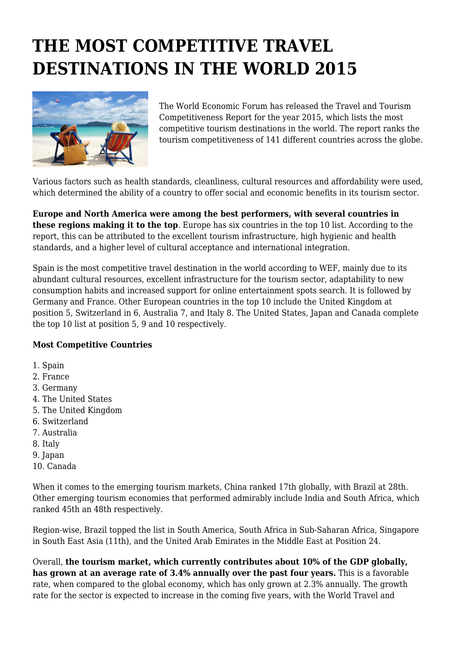## **THE MOST COMPETITIVE TRAVEL DESTINATIONS IN THE WORLD 2015**



The World Economic Forum has released the Travel and Tourism Competitiveness Report for the year 2015, which lists the most competitive tourism destinations in the world. The report ranks the tourism competitiveness of 141 different countries across the globe.

Various factors such as health standards, cleanliness, cultural resources and affordability were used, which determined the ability of a country to offer social and economic benefits in its tourism sector.

**Europe and North America were among the best performers, with several countries in these regions making it to the top**. Europe has six countries in the top 10 list. According to the report, this can be attributed to the excellent tourism infrastructure, high hygienic and health standards, and a higher level of cultural acceptance and international integration.

Spain is the most competitive travel destination in the world according to WEF, mainly due to its abundant cultural resources, excellent infrastructure for the tourism sector, adaptability to new consumption habits and increased support for online entertainment spots search. It is followed by Germany and France. Other European countries in the top 10 include the United Kingdom at position 5, Switzerland in 6, Australia 7, and Italy 8. The United States, Japan and Canada complete the top 10 list at position 5, 9 and 10 respectively.

## **Most Competitive Countries**

- 1. Spain
- 2. France
- 3. Germany
- 4. The United States
- 5. The United Kingdom
- 6. Switzerland
- 7. Australia
- 8. Italy
- 9. Japan
- 10. Canada

When it comes to the emerging tourism markets, China ranked 17th globally, with Brazil at 28th. Other emerging tourism economies that performed admirably include India and South Africa, which ranked 45th an 48th respectively.

Region-wise, Brazil topped the list in South America, South Africa in Sub-Saharan Africa, Singapore in South East Asia (11th), and the United Arab Emirates in the Middle East at Position 24.

Overall, **the tourism market, which currently contributes about 10% of the GDP globally, has grown at an average rate of 3.4% annually over the past four years.** This is a favorable rate, when compared to the global economy, which has only grown at 2.3% annually. The growth rate for the sector is expected to increase in the coming five years, with the World Travel and